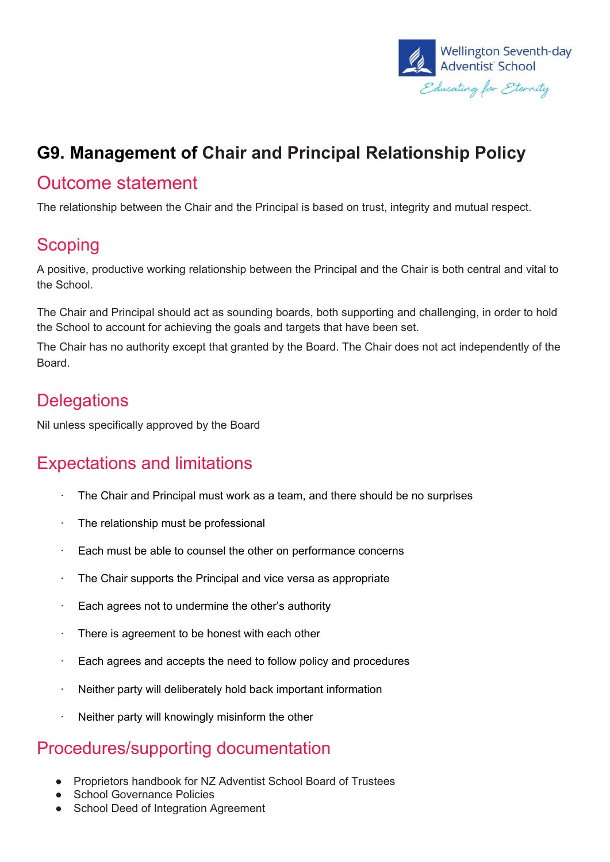

## **G9. Management of Chair and Principal Relationship Policy**

#### Outcome statement

The relationship between the Chair and the Principal is based on trust, integrity and mutual respect.

### **Scoping**

A positive, productive working relationship between the Principal and the Chair is both central and vital to the School.

The Chair and Principal should act as sounding boards, both supporting and challenging, in order to hold the School to account for achieving the goals and targets that have been set.

The Chair has no authority except that granted by the Board. The Chair does not act independently of the Board.

#### **Delegations**

Nil unless specifically approved by the Board

#### Expectations and limitations

- · The Chair and Principal must work as a team, and there should be no surprises
- · The relationship must be professional
- Each must be able to counsel the other on performance concerns
- · The Chair supports the Principal and vice versa as appropriate
- Each agrees not to undermine the other's authority
- · There is agreement to be honest with each other
- $\cdot$  Each agrees and accepts the need to follow policy and procedures
- Neither party will deliberately hold back important information
- Neither party will knowingly misinform the other

#### Procedures/supporting documentation

- Proprietors handbook for NZ Adventist School Board of Trustees
- School Governance Policies
- School Deed of Integration Agreement